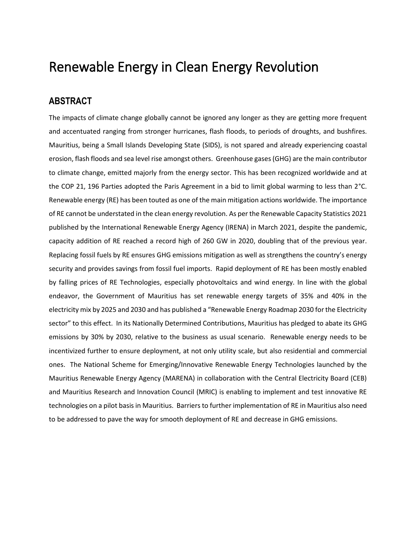# Renewable Energy in Clean Energy Revolution

### **ABSTRACT**

The impacts of climate change globally cannot be ignored any longer as they are getting more frequent and accentuated ranging from stronger hurricanes, flash floods, to periods of droughts, and bushfires. Mauritius, being a Small Islands Developing State (SIDS), is not spared and already experiencing coastal erosion, flash floods and sea level rise amongst others. Greenhouse gases(GHG) are the main contributor to climate change, emitted majorly from the energy sector. This has been recognized worldwide and at the COP 21, 196 Parties adopted the Paris Agreement in a bid to limit global warming to less than 2°C. Renewable energy (RE) has been touted as one of the main mitigation actions worldwide. The importance of RE cannot be understated in the clean energy revolution. As per the Renewable Capacity Statistics 2021 published by the International Renewable Energy Agency (IRENA) in March 2021, despite the pandemic, capacity addition of RE reached a record high of 260 GW in 2020, doubling that of the previous year. Replacing fossil fuels by RE ensures GHG emissions mitigation as well as strengthens the country's energy security and provides savings from fossil fuel imports. Rapid deployment of RE has been mostly enabled by falling prices of RE Technologies, especially photovoltaics and wind energy. In line with the global endeavor, the Government of Mauritius has set renewable energy targets of 35% and 40% in the electricity mix by 2025 and 2030 and has published a "Renewable Energy Roadmap 2030 for the Electricity sector" to this effect. In its Nationally Determined Contributions, Mauritius has pledged to abate its GHG emissions by 30% by 2030, relative to the business as usual scenario. Renewable energy needs to be incentivized further to ensure deployment, at not only utility scale, but also residential and commercial ones. The National Scheme for Emerging/Innovative Renewable Energy Technologies launched by the Mauritius Renewable Energy Agency (MARENA) in collaboration with the Central Electricity Board (CEB) and Mauritius Research and Innovation Council (MRIC) is enabling to implement and test innovative RE technologies on a pilot basis in Mauritius. Barriers to further implementation of RE in Mauritius also need to be addressed to pave the way for smooth deployment of RE and decrease in GHG emissions.